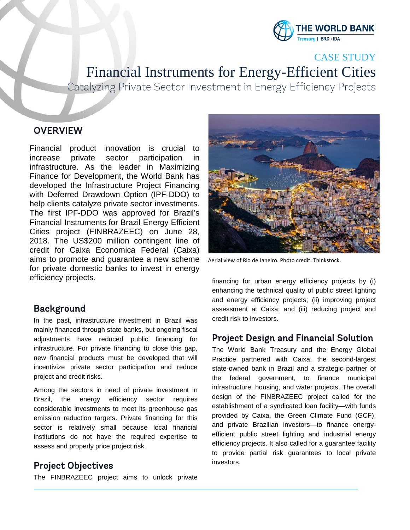

CASE STUDY

Financial Instruments for Energy-Efficient Cities

Catalyzing Private Sector Investment in Energy Efficiency Projects

### **OVERVIEW**

l ļ

Financial product innovation is crucial to increase private sector participation in infrastructure. As the leader in Maximizing Finance for Development, the World Bank has developed the Infrastructure Project Financing with Deferred Drawdown Option (IPF-DDO) to help clients catalyze private sector investments. The first IPF-DDO was approved for Brazil's Financial Instruments for Brazil Energy Efficient Cities project (FINBRAZEEC) on June 28, 2018. The US\$200 million contingent line of credit for Caixa Economica Federal (Caixa) aims to promote and guarantee a new scheme for private domestic banks to invest in energy efficiency projects.

## Background

In the past, infrastructure investment in Brazil was mainly financed through state banks, but ongoing fiscal adjustments have reduced public financing for infrastructure. For private financing to close this gap, new financial products must be developed that will incentivize private sector participation and reduce project and credit risks.

Among the sectors in need of private investment in Brazil, the energy efficiency sector requires considerable investments to meet its greenhouse gas emission reduction targets. Private financing for this sector is relatively small because local financial institutions do not have the required expertise to assess and properly price project risk.

# Project Objectives

The FINBRAZEEC project aims to unlock private



Aerial view of Rio de Janeiro. Photo credit: Thinkstock.

financing for urban energy efficiency projects by (i) enhancing the technical quality of public street lighting and energy efficiency projects; (ii) improving project assessment at Caixa; and (iii) reducing project and credit risk to investors.

# Project Design and Financial Solution

The World Bank Treasury and the Energy Global Practice partnered with Caixa, the second-largest state-owned bank in Brazil and a strategic partner of the federal government, to finance municipal infrastructure, housing, and water projects. The overall design of the FINBRAZEEC project called for the establishment of a syndicated loan facility—with funds provided by Caixa, the Green Climate Fund (GCF), and private Brazilian investors—to finance energyefficient public street lighting and industrial energy efficiency projects. It also called for a guarantee facility to provide partial risk guarantees to local private investors.